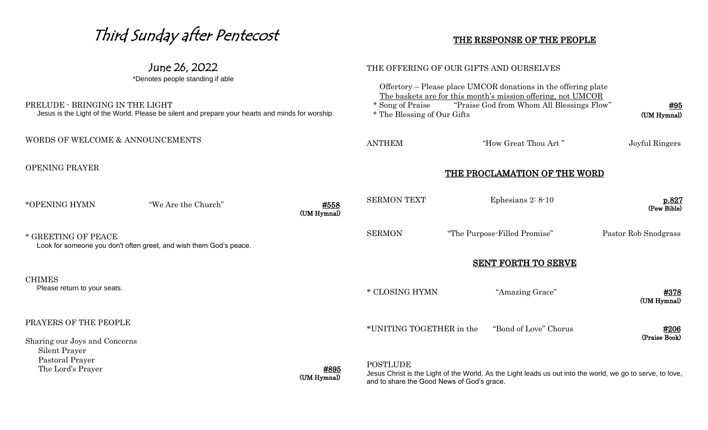#### Third Sunday after Pentecost June 26, 2022 \*Denotes people standing if able PRELUDE - BRINGING IN THE LIGHT Jesus is the Light of the World. Please be silent and prepare your hearts and minds for worship. WORDS OF WELCOME & ANNOUNCEMENTS OPENING PRAYER \*OPENING HYMN "We Are the Church" #558 (UM Hymnal) \* GREETING OF PEACE Look for someone you don't often greet, and wish them God's peace. **CHIMES**  Please return to your seats. PRAYERS OF THE PEOPLE Sharing our Joys and Concerns Silent Prayer Pastoral Prayer The Lord's Prayer **#895**  (UM Hymnal) THE RESPONSE OF THE PEOPLE THE OFFERING OF OUR GIFTS AND OURSELVES Offertory – Please place UMCOR donations in the offering plate The baskets are for this month's mission offering, not UMCOR \* Song of Praise "Praise God from Whom All Blessings Flow" #95 \* The Blessing of Our Gifts (UM Hymnal) ANTHEM "How Great Thou Art" Joyful Ringers THE PROCLAMATION OF THE WORD SERMON TEXT Ephesians 2: 8-10 p.827 (Pew Bible) SERMON "The Purpose-Filled Promise" Pastor Rob Snodgrass SENT FORTH TO SERVE \* CLOSING HYMN "Amazing Grace" #378 (UM Hymnal) \*UNITING TOGETHER in the "Bond of Love" Chorus #206(Praise Book) **POSTLUDE** Jesus Christ is the Light of the World. As the Light leads us out into the world, we go to serve, to love,

and to share the Good News of God's grace.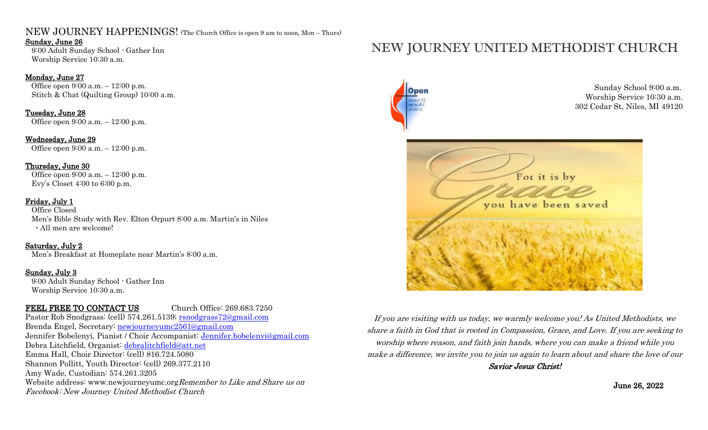## NEW JOURNEY HAPPENINGS! (The Church Office is open 9 am to noon, Mon – Thurs)

#### Sunday, June 26

9:00 Adult Sunday School - Gather Inn Worship Service 10:30 a.m.

#### Monday, June 27

 Office open 9:00 a.m. – 12:00 p.m. Stitch & Chat (Quilting Group) 10:00 a.m.

### Tuesday, June 28

Office open 9:00 a.m. – 12:00 p.m.

#### Wednesday, June 29

Office open 9:00 a.m. – 12:00 p.m.

#### Thursday, June 30

 Office open 9:00 a.m. – 12:00 p.m. Evy's Closet 4:00 to 6:00 p.m.

#### Friday, July 1

 Office Closed Men's Bible Study with Rev. Elton Orpurt 8:00 a.m. Martin's in Niles - All men are welcome!

#### Saturday, July 2

Men's Breakfast at Homeplate near Martin's 8:00 a.m.

#### Sunday, July 3

 9:00 Adult Sunday School - Gather Inn Worship Service 10:30 a.m.

### FEEL FREE TO CONTACT US Church Office: 269.683.7250

Pastor Rob Snodgrass: (cell) 574.261.5139; [rsnodgrass72@gmail.com](mailto:rsnodgrass72@gmail.com) Brenda Engel, Secretary: newjourneyumc2561@gmail.com Jennifer Bobelenyi, Pianist / Choir Accompanist: [Jennifer.bobelenyi@gmail.com](mailto:Jennifer.bobelenyi@gmail.com) Debra Litchfield, Organist: [debralitchfield@att.net](mailto:debralitchfield@att.net) Emma Hall, Choir Director: (cell) 816.724.5080 Shannon Pollitt, Youth Director: (cell) 269.377.2110 Amy Wade, Custodian: 574.261.3205 Website address: www.newjourneyumc.org Remember to Like and Share us on Facebook: New Journey United Methodist Church

# NEW JOURNEY UNITED METHODIST CHURCH



If you are visiting with us today, we warmly welcome you! As United Methodists, we share a faith in God that is rooted in Compassion, Grace, and Love. If you are seeking to worship where reason, and faith join hands, where you can make a friend while you make a difference, we invite you to join us again to learn about and share the love of our Savior Jesus Christ!

June 26, 2022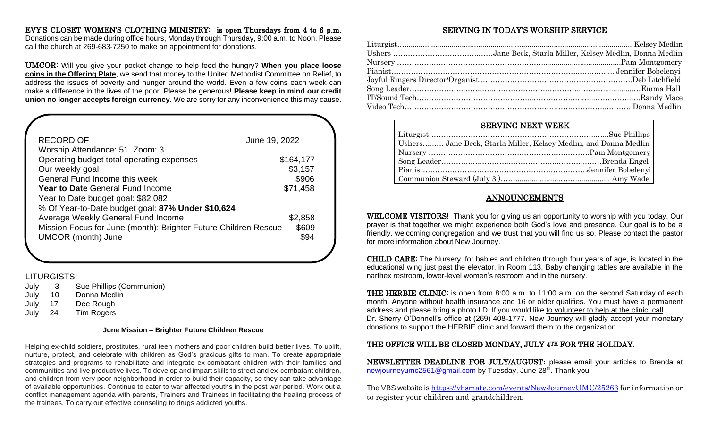#### EVY'S CLOSET WOMEN'S CLOTHING MINISTRY: is open Thursdays from 4 to 6 p.m.

Donations can be made during office hours, Monday through Thursday, 9:00 a.m. to Noon. Please call the church at 269-683-7250 to make an appointment for donations.

UMCOR: Will you give your pocket change to help feed the hungry? **When you place loose coins in the Offering Plate**, we send that money to the United Methodist Committee on Relief, to address the issues of poverty and hunger around the world. Even a few coins each week can make a difference in the lives of the poor. Please be generous! **Please keep in mind our credit union no longer accepts foreign currency.** We are sorry for any inconvenience this may cause.

| <b>RECORD OF</b>                                                | June 19, 2022 |  |
|-----------------------------------------------------------------|---------------|--|
| Worship Attendance: 51 Zoom: 3                                  |               |  |
| Operating budget total operating expenses                       | \$164,177     |  |
| Our weekly goal                                                 | \$3,157       |  |
| General Fund Income this week                                   | \$906         |  |
| <b>Year to Date General Fund Income</b>                         | \$71,458      |  |
| Year to Date budget goal: \$82,082                              |               |  |
| % Of Year-to-Date budget goal: 87% Under \$10,624               |               |  |
| Average Weekly General Fund Income                              | \$2,858       |  |
| Mission Focus for June (month): Brighter Future Children Rescue | \$609         |  |
| <b>UMCOR</b> (month) June                                       | \$94          |  |
|                                                                 |               |  |

#### LITURGISTS:

 $\overline{1}$ 

I I

- July 3 Sue Phillips (Communion)
- July 10 Donna Medlin
- July 17 Dee Rough
- July 24 Tim Rogers

#### **June Mission – Brighter Future Children Rescue**

Helping ex-child soldiers, prostitutes, rural teen mothers and poor children build better lives. To uplift, nurture, protect, and celebrate with children as God's gracious gifts to man. To create appropriate strategies and programs to rehabilitate and integrate ex-combatant children with their families and communities and live productive lives. To develop and impart skills to street and ex-combatant children, and children from very poor neighborhood in order to build their capacity, so they can take advantage of available opportunities. Continue to cater to war affected youths in the post war period. Work out a conflict management agenda with parents, Trainers and Trainees in facilitating the healing process of the trainees. To carry out effective counseling to drugs addicted youths.

#### SERVING IN TODAY'S WORSHIP SERVICE

| <b>SERVING NEXT WEEK</b> |                                                                  |
|--------------------------|------------------------------------------------------------------|
|                          |                                                                  |
|                          | Ushers Jane Beck, Starla Miller, Kelsey Medlin, and Donna Medlin |
|                          |                                                                  |
|                          |                                                                  |
|                          |                                                                  |
|                          |                                                                  |

#### ANNOUNCEMENTS

WELCOME VISITORS! Thank you for giving us an opportunity to worship with you today. Our prayer is that together we might experience both God's love and presence. Our goal is to be a friendly, welcoming congregation and we trust that you will find us so. Please contact the pastor for more information about New Journey.

CHILD CARE: The Nursery, for babies and children through four years of age, is located in the educational wing just past the elevator, in Room 113. Baby changing tables are available in the narthex restroom, lower-level women's restroom and in the nursery.

THE HERBIE CLINIC: is open from 8:00 a.m. to 11:00 a.m. on the second Saturday of each month. Anyone without health insurance and 16 or older qualifies. You must have a permanent address and please bring a photo I.D. If you would like to volunteer to help at the clinic, call Dr. Sherry O'Donnell's office at (269) 408-1777. New Journey will gladly accept your monetary donations to support the HERBIE clinic and forward them to the organization.

#### THE OFFICE WILL BE CLOSED MONDAY, JULY 4TH FOR THE HOLIDAY.

NEWSLETTER DEADLINE FOR JULY/AUGUST**:** please email your articles to Brenda at [newjourneyumc2561@gmail.com](mailto:newjourneyumc2561@gmail.com) by Tuesday, June 28<sup>th</sup>. Thank you.

The VBS website is <https://vbsmate.com/events/NewJourneyUMC/25263> for information or to register your children and grandchildren.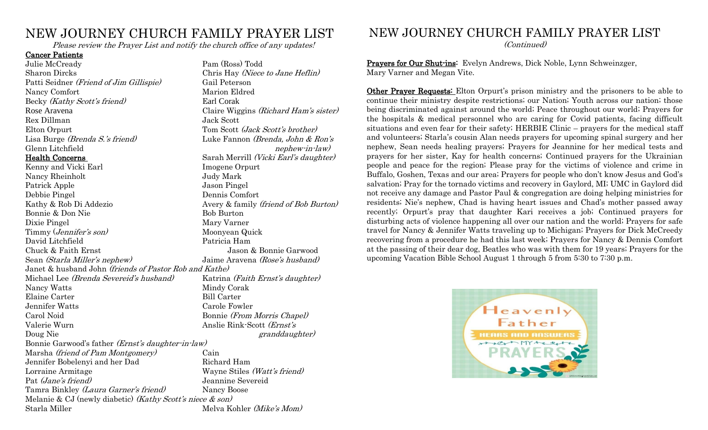## NEW JOURNEY CHURCH FAMILY PRAYER LIST

Please review the Prayer List and notify the church office of any updates!

#### Cancer Patients

Julie McCready Pam (Ross) Todd Sharon Dircks Chris Hay (Niece to Jane Heflin) Patti Seidner (Friend of Jim Gillispie) Gail Peterson Nancy Comfort Marion Eldred Becky (Kathy Scott's friend) Earl Corak Rex Dillman Jack Scott Elton Orpurt Tom Scott (*Jack Scott's brother*) Glenn Litchfield and the set of the set of the set of the nephew-in-law)

Kenny and Vicki Earl **Imogene Orpurt** Nancy Rheinholt Judy Mark Patrick Apple Jason Pingel Debbie Pingel Dennis Comfort Kathy & Rob Di Addezio **Avery & family (friend of Bob Burton)** Bonnie & Don Nie Bob Burton Dixie Pingel Mary Varner Timmy (*Jennifer's son*) Moonyean Quick David Litchfield Patricia Ham Chuck & Faith Ernst Jason & Bonnie Garwood Sean (Starla Miller's nephew) Jaime Aravena (Rose's husband) Janet & husband John (friends of Pastor Rob and Kathe) Michael Lee (Brenda Severeid's husband) Katrina (Faith Ernst's daughter) Nancy Watts Mindy Corak Elaine Carter Bill Carter Jennifer Watts Carole Fowler Carol Noid Bonnie (From Morris Chapel) Valerie Wurn Anslie Rink-Scott (Ernst's Doug Nie granddaughter) is a strong with the grand grand grand grand grand grand grand grand grand grand grand grand grand grand grand grand grand grand grand grand grand grand grand grand grand grand grand grand grand gra Bonnie Garwood's father (Ernst's daughter-in-law) Marsha *(friend of Pam Montgomery)* Cain<br>Jennifer Bobelenyi and her Dad Richard Ham Jennifer Bobelenyi and her Dad Lorraine Armitage Wayne Stiles (Watt's friend) Pat (Jane's friend) Jeannine Severeid Tamra Binkley *(Laura Garner's friend)* Nancy Boose Melanie & CJ (newly diabetic) (Kathy Scott's niece & son) Starla Miller Melva Kohler (*Mike's Mom*)

Rose Aravena **Claire Wiggins** (*Richard Ham's sister*) Lisa Burge (Brenda S.'s friend) Luke Fannon (Brenda, John & Ron's Health Concerns Sarah Merrill (Vicki Earl's daughter)

## NEW JOURNEY CHURCH FAMILY PRAYER LIST

(Continued)

Prayers for Our Shut-ins: Evelyn Andrews, Dick Noble, Lynn Schweinzger, Mary Varner and Megan Vite.

Other Prayer Requests: Elton Orpurt's prison ministry and the prisoners to be able to continue their ministry despite restrictions; our Nation; Youth across our nation; those being discriminated against around the world; Peace throughout our world; Prayers for the hospitals & medical personnel who are caring for Covid patients, facing difficult situations and even fear for their safety; HERBIE Clinic – prayers for the medical staff and volunteers; Starla's cousin Alan needs prayers for upcoming spinal surgery and her nephew, Sean needs healing prayers; Prayers for Jeannine for her medical tests and prayers for her sister, Kay for health concerns; Continued prayers for the Ukrainian people and peace for the region; Please pray for the victims of violence and crime in Buffalo, Goshen, Texas and our area; Prayers for people who don't know Jesus and God's salvation; Pray for the tornado victims and recovery in Gaylord, MI; UMC in Gaylord did not receive any damage and Pastor Paul & congregation are doing helping ministries for residents; Nie's nephew, Chad is having heart issues and Chad's mother passed away recently; Orpurt's pray that daughter Kari receives a job; Continued prayers for disturbing acts of violence happening all over our nation and the world; Prayers for safe travel for Nancy & Jennifer Watts traveling up to Michigan; Prayers for Dick McCreedy recovering from a procedure he had this last week; Prayers for Nancy & Dennis Comfort at the passing of their dear dog, Beatles who was with them for 19 years; Prayers for the upcoming Vacation Bible School August 1 through 5 from 5:30 to 7:30 p.m.